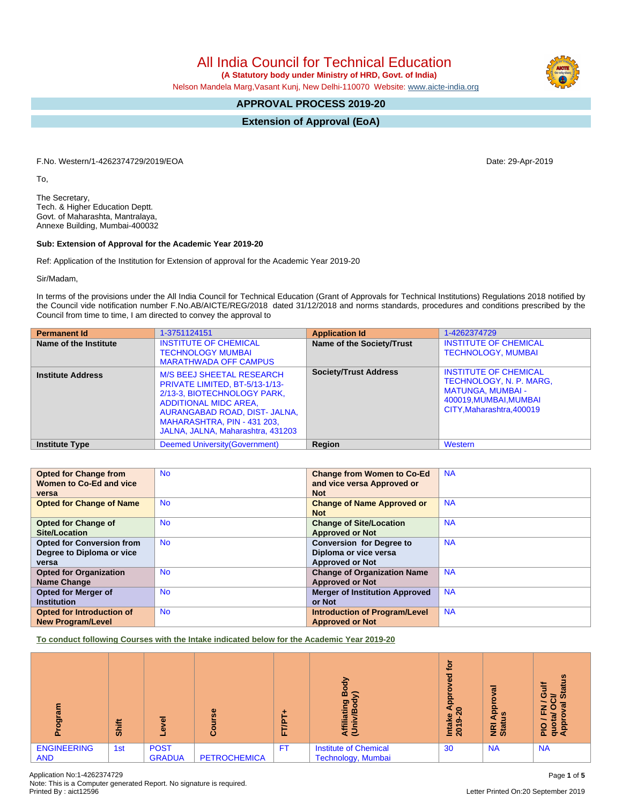All India Council for Technical Education

 **(A Statutory body under Ministry of HRD, Govt. of India)**

Nelson Mandela Marg,Vasant Kunj, New Delhi-110070 Website: [www.aicte-india.org](http://www.aicte-india.org)

# **APPROVAL PROCESS 2019-20**

**Extension of Approval (EoA)**

F.No. Western/1-4262374729/2019/EOA Date: 29-Apr-2019

To,

The Secretary, Tech. & Higher Education Deptt. Govt. of Maharashta, Mantralaya, Annexe Building, Mumbai-400032

#### **Sub: Extension of Approval for the Academic Year 2019-20**

Ref: Application of the Institution for Extension of approval for the Academic Year 2019-20

Sir/Madam,

In terms of the provisions under the All India Council for Technical Education (Grant of Approvals for Technical Institutions) Regulations 2018 notified by the Council vide notification number F.No.AB/AICTE/REG/2018 dated 31/12/2018 and norms standards, procedures and conditions prescribed by the Council from time to time, I am directed to convey the approval to

| <b>Permanent Id</b>      | 1-3751124151                                                                                                                                                                                                                           | <b>Application Id</b>        | 1-4262374729                                                                                                                             |
|--------------------------|----------------------------------------------------------------------------------------------------------------------------------------------------------------------------------------------------------------------------------------|------------------------------|------------------------------------------------------------------------------------------------------------------------------------------|
| Name of the Institute    | <b>INSTITUTE OF CHEMICAL</b><br><b>TECHNOLOGY MUMBAI</b><br><b>MARATHWADA OFF CAMPUS</b>                                                                                                                                               | Name of the Society/Trust    | <b>INSTITUTE OF CHEMICAL</b><br><b>TECHNOLOGY, MUMBAI</b>                                                                                |
| <b>Institute Address</b> | <b>M/S BEEJ SHEETAL RESEARCH</b><br>PRIVATE LIMITED, BT-5/13-1/13-<br>2/13-3, BIOTECHNOLOGY PARK,<br><b>ADDITIONAL MIDC AREA,</b><br>AURANGABAD ROAD, DIST- JALNA,<br>MAHARASHTRA, PIN - 431 203,<br>JALNA, JALNA, Maharashtra, 431203 | <b>Society/Trust Address</b> | <b>INSTITUTE OF CHEMICAL</b><br>TECHNOLOGY, N. P. MARG,<br><b>MATUNGA, MUMBAI -</b><br>400019, MUMBAI, MUMBAI<br>CITY.Maharashtra.400019 |
| <b>Institute Type</b>    | Deemed University (Government)                                                                                                                                                                                                         | Region                       | Western                                                                                                                                  |

| <b>Opted for Change from</b>     | <b>No</b> | <b>Change from Women to Co-Ed</b>     | <b>NA</b> |
|----------------------------------|-----------|---------------------------------------|-----------|
| Women to Co-Ed and vice          |           | and vice versa Approved or            |           |
| versa                            |           | <b>Not</b>                            |           |
| <b>Opted for Change of Name</b>  | <b>No</b> | <b>Change of Name Approved or</b>     | <b>NA</b> |
|                                  |           | <b>Not</b>                            |           |
| <b>Opted for Change of</b>       | <b>No</b> | <b>Change of Site/Location</b>        | <b>NA</b> |
| Site/Location                    |           | <b>Approved or Not</b>                |           |
| <b>Opted for Conversion from</b> | <b>No</b> | <b>Conversion for Degree to</b>       | <b>NA</b> |
| Degree to Diploma or vice        |           | Diploma or vice versa                 |           |
| versa                            |           | <b>Approved or Not</b>                |           |
| <b>Opted for Organization</b>    | <b>No</b> | <b>Change of Organization Name</b>    | <b>NA</b> |
| Name Change                      |           | <b>Approved or Not</b>                |           |
| <b>Opted for Merger of</b>       | <b>No</b> | <b>Merger of Institution Approved</b> | <b>NA</b> |
| <b>Institution</b>               |           | or Not                                |           |
| Opted for Introduction of        | <b>No</b> | <b>Introduction of Program/Level</b>  | <b>NA</b> |
| <b>New Program/Level</b>         |           | <b>Approved or Not</b>                |           |

**To conduct following Courses with the Intake indicated below for the Academic Year 2019-20**

| <u>ច្ច</u>                       | Shift | ᠊ᢛ<br>Φ<br>-                 | Φ<br>Ŵ,<br>۰<br>Ő   | ⊢<br>은<br>ш. | 융<br>о<br>⋒<br>o.<br>ā<br>Affil<br>(Uni            | <u>ior</u><br>ъ<br>a<br>٥<br>۰.<br>ga<br>c<br>Le<br>ග<br>Intal<br>2019 | $\omega$<br>ο<br>o.<br>o.<br><b>SC</b><br>$\overline{\alpha}$<br>요<br>z ŏ | ≍<br>O<br>ഗ<br>⇒<br>œ<br>⇁<br>о<br>ш.<br>O<br>ο<br>_<br>Δ.<br>σ∢ |
|----------------------------------|-------|------------------------------|---------------------|--------------|----------------------------------------------------|------------------------------------------------------------------------|---------------------------------------------------------------------------|------------------------------------------------------------------|
| <b>ENGINEERING</b><br><b>AND</b> | 1st   | <b>POST</b><br><b>GRADUA</b> | <b>PETROCHEMICA</b> |              | <b>Institute of Chemical</b><br>Technology, Mumbai | 30                                                                     | <b>NA</b>                                                                 | <b>NA</b>                                                        |

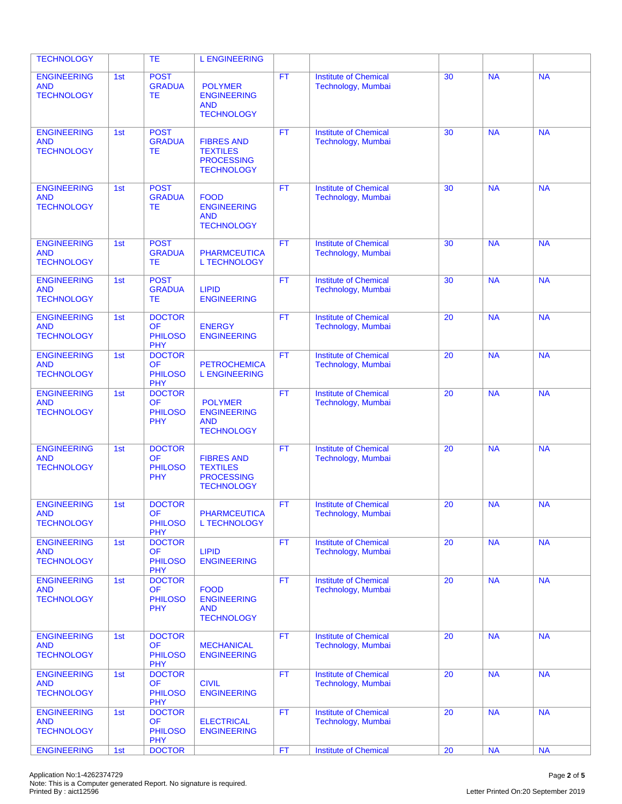| <b>TECHNOLOGY</b>                                     |     | <b>TE</b>                                                  | <b>L ENGINEERING</b>                                                           |           |                                                    |                 |           |           |
|-------------------------------------------------------|-----|------------------------------------------------------------|--------------------------------------------------------------------------------|-----------|----------------------------------------------------|-----------------|-----------|-----------|
| <b>ENGINEERING</b><br><b>AND</b><br><b>TECHNOLOGY</b> | 1st | <b>POST</b><br><b>GRADUA</b><br>TE.                        | <b>POLYMER</b><br><b>ENGINEERING</b><br><b>AND</b><br><b>TECHNOLOGY</b>        | <b>FT</b> | <b>Institute of Chemical</b><br>Technology, Mumbai | 30              | <b>NA</b> | <b>NA</b> |
| <b>ENGINEERING</b><br><b>AND</b><br><b>TECHNOLOGY</b> | 1st | <b>POST</b><br><b>GRADUA</b><br>TE.                        | <b>FIBRES AND</b><br><b>TEXTILES</b><br><b>PROCESSING</b><br><b>TECHNOLOGY</b> | <b>FT</b> | <b>Institute of Chemical</b><br>Technology, Mumbai | 30              | <b>NA</b> | <b>NA</b> |
| <b>ENGINEERING</b><br><b>AND</b><br><b>TECHNOLOGY</b> | 1st | <b>POST</b><br><b>GRADUA</b><br>TE.                        | <b>FOOD</b><br><b>ENGINEERING</b><br><b>AND</b><br><b>TECHNOLOGY</b>           | <b>FT</b> | <b>Institute of Chemical</b><br>Technology, Mumbai | 30              | <b>NA</b> | <b>NA</b> |
| <b>ENGINEERING</b><br><b>AND</b><br><b>TECHNOLOGY</b> | 1st | <b>POST</b><br><b>GRADUA</b><br><b>TE</b>                  | <b>PHARMCEUTICA</b><br><b>L TECHNOLOGY</b>                                     | FT.       | <b>Institute of Chemical</b><br>Technology, Mumbai | 30              | <b>NA</b> | <b>NA</b> |
| <b>ENGINEERING</b><br><b>AND</b><br><b>TECHNOLOGY</b> | 1st | <b>POST</b><br><b>GRADUA</b><br><b>TE</b>                  | <b>LIPID</b><br><b>ENGINEERING</b>                                             | FT.       | <b>Institute of Chemical</b><br>Technology, Mumbai | 30              | <b>NA</b> | <b>NA</b> |
| <b>ENGINEERING</b><br><b>AND</b><br><b>TECHNOLOGY</b> | 1st | <b>DOCTOR</b><br><b>OF</b><br><b>PHILOSO</b><br><b>PHY</b> | <b>ENERGY</b><br><b>ENGINEERING</b>                                            | <b>FT</b> | <b>Institute of Chemical</b><br>Technology, Mumbai | 20              | <b>NA</b> | <b>NA</b> |
| <b>ENGINEERING</b><br><b>AND</b><br><b>TECHNOLOGY</b> | 1st | <b>DOCTOR</b><br><b>OF</b><br><b>PHILOSO</b><br><b>PHY</b> | <b>PETROCHEMICA</b><br><b>L ENGINEERING</b>                                    | <b>FT</b> | <b>Institute of Chemical</b><br>Technology, Mumbai | 20              | <b>NA</b> | <b>NA</b> |
| <b>ENGINEERING</b><br><b>AND</b><br><b>TECHNOLOGY</b> | 1st | <b>DOCTOR</b><br><b>OF</b><br><b>PHILOSO</b><br><b>PHY</b> | <b>POLYMER</b><br><b>ENGINEERING</b><br><b>AND</b><br><b>TECHNOLOGY</b>        | <b>FT</b> | <b>Institute of Chemical</b><br>Technology, Mumbai | 20              | <b>NA</b> | <b>NA</b> |
| <b>ENGINEERING</b><br><b>AND</b><br><b>TECHNOLOGY</b> | 1st | <b>DOCTOR</b><br><b>OF</b><br><b>PHILOSO</b><br><b>PHY</b> | <b>FIBRES AND</b><br><b>TEXTILES</b><br><b>PROCESSING</b><br><b>TECHNOLOGY</b> | <b>FT</b> | <b>Institute of Chemical</b><br>Technology, Mumbai | 20              | <b>NA</b> | <b>NA</b> |
| <b>ENGINEERING</b><br><b>AND</b><br><b>TECHNOLOGY</b> | 1st | <b>DOCTOR</b><br><b>OF</b><br><b>PHILOSO</b><br><b>PHY</b> | <b>PHARMCEUTICA</b><br><b>L TECHNOLOGY</b>                                     | <b>FT</b> | <b>Institute of Chemical</b><br>Technology, Mumbai | 20              | <b>NA</b> | <b>NA</b> |
| <b>ENGINEERING</b><br><b>AND</b><br><b>TECHNOLOGY</b> | 1st | <b>DOCTOR</b><br><b>OF</b><br><b>PHILOSO</b><br><b>PHY</b> | <b>LIPID</b><br><b>ENGINEERING</b>                                             | FT.       | <b>Institute of Chemical</b><br>Technology, Mumbai | 20              | <b>NA</b> | <b>NA</b> |
| <b>ENGINEERING</b><br><b>AND</b><br><b>TECHNOLOGY</b> | 1st | <b>DOCTOR</b><br><b>OF</b><br><b>PHILOSO</b><br><b>PHY</b> | <b>FOOD</b><br><b>ENGINEERING</b><br>AND<br><b>TECHNOLOGY</b>                  | <b>FT</b> | <b>Institute of Chemical</b><br>Technology, Mumbai | 20              | NA        | <b>NA</b> |
| <b>ENGINEERING</b><br><b>AND</b><br><b>TECHNOLOGY</b> | 1st | <b>DOCTOR</b><br><b>OF</b><br><b>PHILOSO</b><br><b>PHY</b> | <b>MECHANICAL</b><br><b>ENGINEERING</b>                                        | <b>FT</b> | <b>Institute of Chemical</b><br>Technology, Mumbai | 20              | <b>NA</b> | <b>NA</b> |
| <b>ENGINEERING</b><br><b>AND</b><br><b>TECHNOLOGY</b> | 1st | <b>DOCTOR</b><br><b>OF</b><br><b>PHILOSO</b><br><b>PHY</b> | <b>CIVIL</b><br><b>ENGINEERING</b>                                             | <b>FT</b> | <b>Institute of Chemical</b><br>Technology, Mumbai | 20              | <b>NA</b> | <b>NA</b> |
| <b>ENGINEERING</b><br><b>AND</b><br><b>TECHNOLOGY</b> | 1st | <b>DOCTOR</b><br><b>OF</b><br><b>PHILOSO</b><br><b>PHY</b> | <b>ELECTRICAL</b><br><b>ENGINEERING</b>                                        | FT.       | <b>Institute of Chemical</b><br>Technology, Mumbai | 20              | <b>NA</b> | <b>NA</b> |
| <b>ENGINEERING</b>                                    | 1st | <b>DOCTOR</b>                                              |                                                                                | FT        | <b>Institute of Chemical</b>                       | $\overline{20}$ | NA        | <b>NA</b> |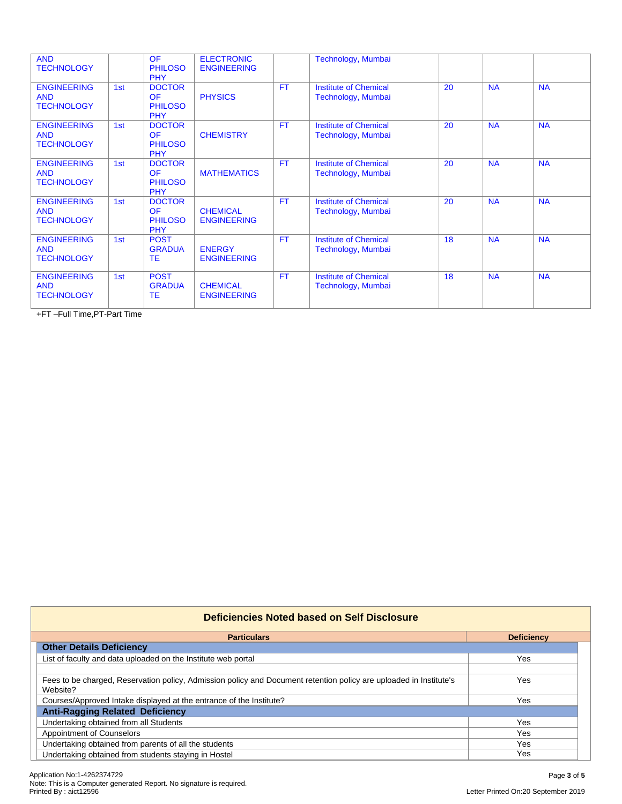| <b>AND</b><br><b>TECHNOLOGY</b>                       |     | <b>OF</b><br><b>PHILOSO</b><br><b>PHY</b>                  | <b>ELECTRONIC</b><br><b>ENGINEERING</b> |           | Technology, Mumbai                                 |    |           |           |
|-------------------------------------------------------|-----|------------------------------------------------------------|-----------------------------------------|-----------|----------------------------------------------------|----|-----------|-----------|
| <b>ENGINEERING</b><br><b>AND</b><br><b>TECHNOLOGY</b> | 1st | <b>DOCTOR</b><br><b>OF</b><br><b>PHILOSO</b><br><b>PHY</b> | <b>PHYSICS</b>                          | <b>FT</b> | <b>Institute of Chemical</b><br>Technology, Mumbai | 20 | <b>NA</b> | <b>NA</b> |
| <b>ENGINEERING</b><br><b>AND</b><br><b>TECHNOLOGY</b> | 1st | <b>DOCTOR</b><br><b>OF</b><br><b>PHILOSO</b><br><b>PHY</b> | <b>CHEMISTRY</b>                        | <b>FT</b> | <b>Institute of Chemical</b><br>Technology, Mumbai | 20 | <b>NA</b> | <b>NA</b> |
| <b>ENGINEERING</b><br><b>AND</b><br><b>TECHNOLOGY</b> | 1st | <b>DOCTOR</b><br><b>OF</b><br><b>PHILOSO</b><br><b>PHY</b> | <b>MATHEMATICS</b>                      | <b>FT</b> | <b>Institute of Chemical</b><br>Technology, Mumbai | 20 | <b>NA</b> | <b>NA</b> |
| <b>ENGINEERING</b><br><b>AND</b><br><b>TECHNOLOGY</b> | 1st | <b>DOCTOR</b><br><b>OF</b><br><b>PHILOSO</b><br><b>PHY</b> | <b>CHEMICAL</b><br><b>ENGINEERING</b>   | FT        | <b>Institute of Chemical</b><br>Technology, Mumbai | 20 | <b>NA</b> | <b>NA</b> |
| <b>ENGINEERING</b><br><b>AND</b><br><b>TECHNOLOGY</b> | 1st | <b>POST</b><br><b>GRADUA</b><br><b>TE</b>                  | <b>ENERGY</b><br><b>ENGINEERING</b>     | <b>FT</b> | <b>Institute of Chemical</b><br>Technology, Mumbai | 18 | <b>NA</b> | <b>NA</b> |
| <b>ENGINEERING</b><br><b>AND</b><br><b>TECHNOLOGY</b> | 1st | <b>POST</b><br><b>GRADUA</b><br><b>TE</b>                  | <b>CHEMICAL</b><br><b>ENGINEERING</b>   | <b>FT</b> | <b>Institute of Chemical</b><br>Technology, Mumbai | 18 | <b>NA</b> | <b>NA</b> |

+FT –Full Time,PT-Part Time

| Deficiencies Noted based on Self Disclosure                                                                        |                   |
|--------------------------------------------------------------------------------------------------------------------|-------------------|
| <b>Particulars</b>                                                                                                 | <b>Deficiency</b> |
| <b>Other Details Deficiency</b>                                                                                    |                   |
| List of faculty and data uploaded on the Institute web portal                                                      | Yes               |
|                                                                                                                    |                   |
| Fees to be charged, Reservation policy, Admission policy and Document retention policy are uploaded in Institute's | Yes               |
| Website?                                                                                                           |                   |
| Courses/Approved Intake displayed at the entrance of the Institute?                                                | Yes               |
| <b>Anti-Ragging Related Deficiency</b>                                                                             |                   |
| Undertaking obtained from all Students                                                                             | Yes               |
| <b>Appointment of Counselors</b>                                                                                   | <b>Yes</b>        |
| Undertaking obtained from parents of all the students                                                              | Yes               |
| Undertaking obtained from students staying in Hostel                                                               | Yes               |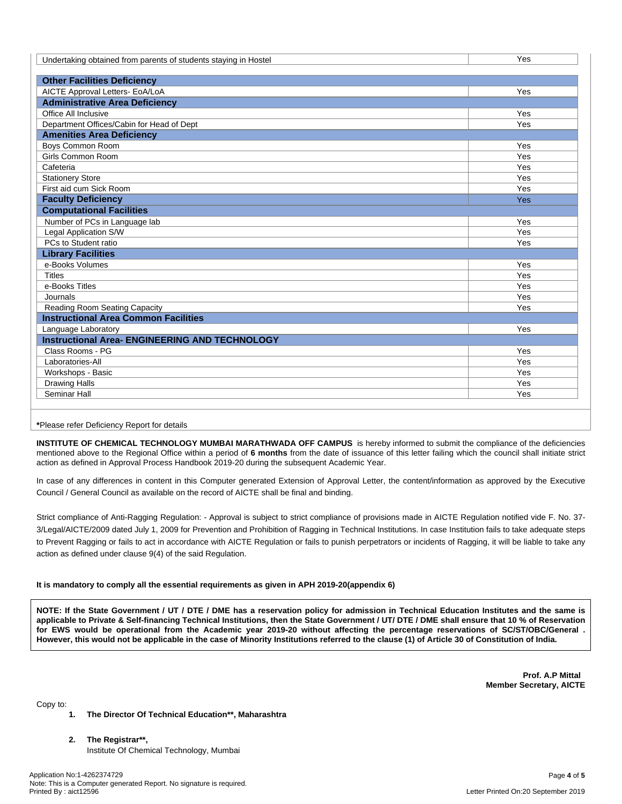| Undertaking obtained from parents of students staying in Hostel | Yes |
|-----------------------------------------------------------------|-----|
|                                                                 |     |
| <b>Other Facilities Deficiency</b>                              |     |
| AICTE Approval Letters- EoA/LoA                                 | Yes |
| <b>Administrative Area Deficiency</b>                           |     |
| Office All Inclusive                                            | Yes |
| Department Offices/Cabin for Head of Dept                       | Yes |
| <b>Amenities Area Deficiency</b>                                |     |
| Boys Common Room                                                | Yes |
| <b>Girls Common Room</b>                                        | Yes |
| Cafeteria                                                       | Yes |
| <b>Stationery Store</b>                                         | Yes |
| First aid cum Sick Room                                         | Yes |
| <b>Faculty Deficiency</b>                                       | Yes |
| <b>Computational Facilities</b>                                 |     |
| Number of PCs in Language lab                                   | Yes |
| Legal Application S/W                                           | Yes |
| PCs to Student ratio                                            | Yes |
| <b>Library Facilities</b>                                       |     |
| e-Books Volumes                                                 | Yes |
| <b>Titles</b>                                                   | Yes |
| e-Books Titles                                                  | Yes |
| Journals                                                        | Yes |
| Reading Room Seating Capacity                                   | Yes |
| <b>Instructional Area Common Facilities</b>                     |     |
| Language Laboratory                                             | Yes |
| <b>Instructional Area- ENGINEERING AND TECHNOLOGY</b>           |     |
| Class Rooms - PG                                                | Yes |
| Laboratories-All                                                | Yes |
| Workshops - Basic                                               | Yes |
| <b>Drawing Halls</b>                                            | Yes |
| Seminar Hall                                                    | Yes |

**\***Please refer Deficiency Report for details

**INSTITUTE OF CHEMICAL TECHNOLOGY MUMBAI MARATHWADA OFF CAMPUS** is hereby informed to submit the compliance of the deficiencies mentioned above to the Regional Office within a period of **6 months** from the date of issuance of this letter failing which the council shall initiate strict action as defined in Approval Process Handbook 2019-20 during the subsequent Academic Year.

In case of any differences in content in this Computer generated Extension of Approval Letter, the content/information as approved by the Executive Council / General Council as available on the record of AICTE shall be final and binding.

Strict compliance of Anti-Ragging Regulation: - Approval is subject to strict compliance of provisions made in AICTE Regulation notified vide F. No. 37- 3/Legal/AICTE/2009 dated July 1, 2009 for Prevention and Prohibition of Ragging in Technical Institutions. In case Institution fails to take adequate steps to Prevent Ragging or fails to act in accordance with AICTE Regulation or fails to punish perpetrators or incidents of Ragging, it will be liable to take any action as defined under clause 9(4) of the said Regulation.

### **It is mandatory to comply all the essential requirements as given in APH 2019-20(appendix 6)**

NOTE: If the State Government / UT / DTE / DME has a reservation policy for admission in Technical Education Institutes and the same is applicable to Private & Self-financing Technical Institutions, then the State Government / UT/ DTE / DME shall ensure that 10 % of Reservation for EWS would be operational from the Academic year 2019-20 without affecting the percentage reservations of SC/ST/OBC/General. However, this would not be applicable in the case of Minority Institutions referred to the clause (1) of Article 30 of Constitution of India.

> **Prof. A.P Mittal Member Secretary, AICTE**

Copy to:

### **1. The Director Of Technical Education\*\*, Maharashtra**

**2. The Registrar\*\*,** Institute Of Chemical Technology, Mumbai